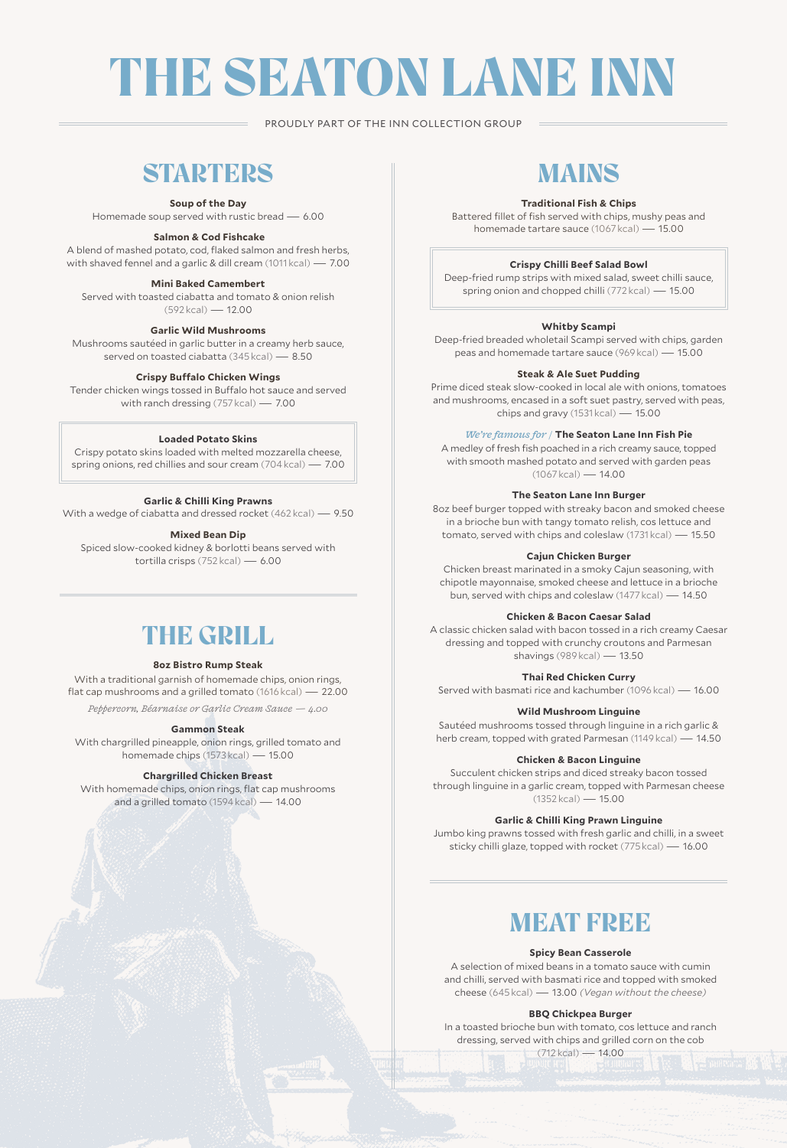# THE SEATON LANE INN

PROUDLY PART OF THE INN COLLECTION GROUP

# **STARTERS**

#### **Soup of the Day**

Homemade soup served with rustic bread — 6.00

#### **Salmon & Cod Fishcake**

A blend of mashed potato, cod, flaked salmon and fresh herbs, with shaved fennel and a garlic & dill cream (1011 kcal) — 7.00

### **Mini Baked Camembert**

Served with toasted ciabatta and tomato & onion relish (592 kcal) — 12.00

#### **Garlic Wild Mushrooms**

Mushrooms sautéed in garlic butter in a creamy herb sauce, served on toasted ciabatta (345 kcal) — 8.50

#### **Crispy Buffalo Chicken Wings**

Tender chicken wings tossed in Buffalo hot sauce and served with ranch dressing (757 kcal) — 7.00

#### **Loaded Potato Skins**

Crispy potato skins loaded with melted mozzarella cheese, spring onions, red chillies and sour cream (704 kcal) — 7.00

#### **Garlic & Chilli King Prawns**

With a wedge of ciabatta and dressed rocket (462 kcal) — 9.50

#### **Mixed Bean Dip**

Spiced slow-cooked kidney & borlotti beans served with tortilla crisps (752 kcal) — 6.00

# THE GRILL

#### **8oz Bistro Rump Steak**

With a traditional garnish of homemade chips, onion rings, flat cap mushrooms and a grilled tomato (1616 kcal) — 22.00

*Peppercorn, Béarnaise or Garlic Cream Sauce — 4.00*

#### **Gammon Steak**

With chargrilled pineapple, onion rings, grilled tomato and homemade chips (1573 kcal) — 15.00

#### **Chargrilled Chicken Breast**

With homemade chips, onion rings, flat cap mushrooms and a grilled tomato (1594 kcal) — 14.00

# MAINS

### **Traditional Fish & Chips**

Battered fillet of fish served with chips, mushy peas and homemade tartare sauce (1067 kcal) — 15.00

#### **Crispy Chilli Beef Salad Bowl**

Deep-fried rump strips with mixed salad, sweet chilli sauce, spring onion and chopped chilli (772 kcal) — 15.00

### **Whitby Scampi**

Deep-fried breaded wholetail Scampi served with chips, garden peas and homemade tartare sauce (969 kcal) — 15.00

#### **Steak & Ale Suet Pudding**

Prime diced steak slow-cooked in local ale with onions, tomatoes and mushrooms, encased in a soft suet pastry, served with peas, chips and gravy (1531 kcal) — 15.00

#### *We're famous for /* **The Seaton Lane Inn Fish Pie**

A medley of fresh fish poached in a rich creamy sauce, topped with smooth mashed potato and served with garden peas  $(1067 \text{ kcal}) - 14.00$ 

#### **The Seaton Lane Inn Burger**

8oz beef burger topped with streaky bacon and smoked cheese in a brioche bun with tangy tomato relish, cos lettuce and tomato, served with chips and coleslaw (1731 kcal) — 15.50

#### **Cajun Chicken Burger**

Chicken breast marinated in a smoky Cajun seasoning, with chipotle mayonnaise, smoked cheese and lettuce in a brioche bun, served with chips and coleslaw (1477 kcal) — 14.50

#### **Chicken & Bacon Caesar Salad**

A classic chicken salad with bacon tossed in a rich creamy Caesar dressing and topped with crunchy croutons and Parmesan shavings (989 kcal) — 13.50

**Thai Red Chicken Curry**

Served with basmati rice and kachumber (1096 kcal) — 16.00

#### **Wild Mushroom Linguine**

Sautéed mushrooms tossed through linguine in a rich garlic & herb cream, topped with grated Parmesan (1149 kcal) — 14.50

#### **Chicken & Bacon Linguine**

Succulent chicken strips and diced streaky bacon tossed through linguine in a garlic cream, topped with Parmesan cheese (1352 kcal) — 15.00

#### **Garlic & Chilli King Prawn Linguine**

Jumbo king prawns tossed with fresh garlic and chilli, in a sweet sticky chilli glaze, topped with rocket (775 kcal) — 16.00

# **MEAT FREE**

#### **Spicy Bean Casserole**

A selection of mixed beans in a tomato sauce with cumin and chilli, served with basmati rice and topped with smoked cheese (645 kcal) — 13.00 *(Vegan without the cheese)*

#### **BBQ Chickpea Burger**

In a toasted brioche bun with tomato, cos lettuce and ranch dressing, served with chips and grilled corn on the cob (712 kcal) — 14.00